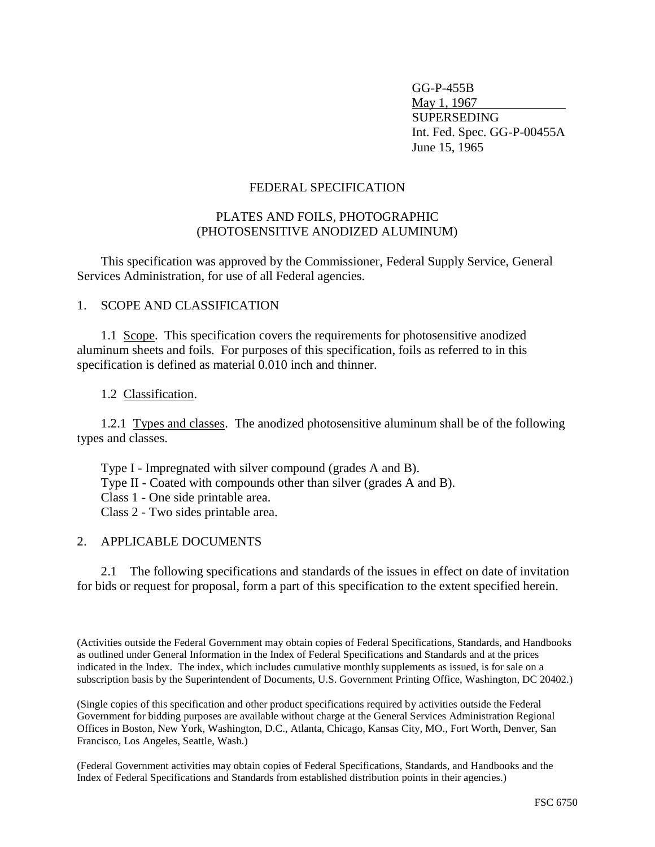GG-P-455B May 1, 1967 SUPERSEDING Int. Fed. Spec. GG-P-00455A June 15, 1965

#### FEDERAL SPECIFICATION

#### PLATES AND FOILS, PHOTOGRAPHIC (PHOTOSENSITIVE ANODIZED ALUMINUM)

This specification was approved by the Commissioner, Federal Supply Service, General Services Administration, for use of all Federal agencies.

1. SCOPE AND CLASSIFICATION

1.1 Scope. This specification covers the requirements for photosensitive anodized aluminum sheets and foils. For purposes of this specification, foils as referred to in this specification is defined as material 0.010 inch and thinner.

1.2 Classification.

1.2.1 Types and classes. The anodized photosensitive aluminum shall be of the following types and classes.

Type I - Impregnated with silver compound (grades A and B).

Type II - Coated with compounds other than silver (grades A and B).

Class 1 - One side printable area.

Class 2 - Two sides printable area.

#### 2. APPLICABLE DOCUMENTS

2.1 The following specifications and standards of the issues in effect on date of invitation for bids or request for proposal, form a part of this specification to the extent specified herein.

(Activities outside the Federal Government may obtain copies of Federal Specifications, Standards, and Handbooks as outlined under General Information in the Index of Federal Specifications and Standards and at the prices indicated in the Index. The index, which includes cumulative monthly supplements as issued, is for sale on a subscription basis by the Superintendent of Documents, U.S. Government Printing Office, Washington, DC 20402.)

(Single copies of this specification and other product specifications required by activities outside the Federal Government for bidding purposes are available without charge at the General Services Administration Regional Offices in Boston, New York, Washington, D.C., Atlanta, Chicago, Kansas City, MO., Fort Worth, Denver, San Francisco, Los Angeles, Seattle, Wash.)

(Federal Government activities may obtain copies of Federal Specifications, Standards, and Handbooks and the Index of Federal Specifications and Standards from established distribution points in their agencies.)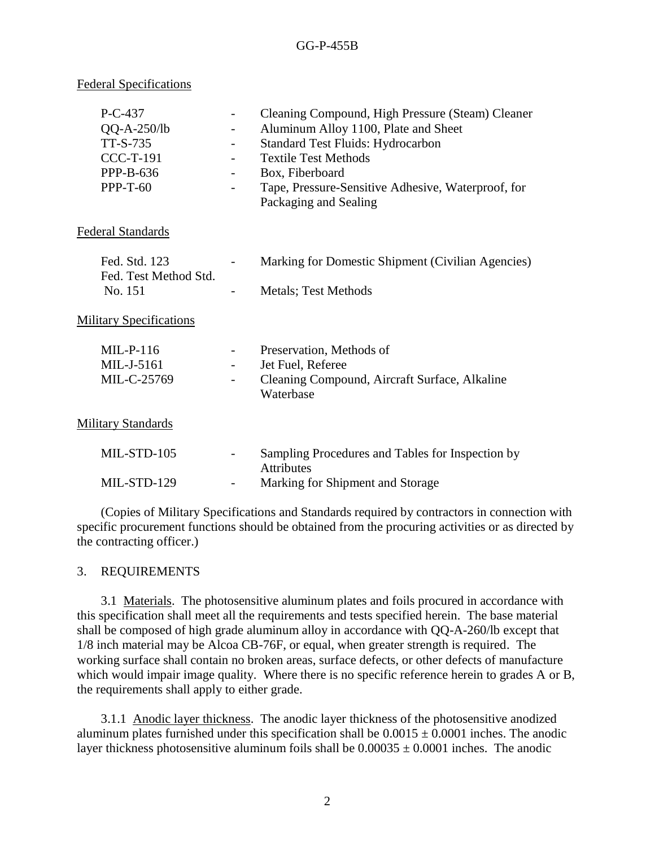#### Federal Specifications

| $P-C-437$<br>$QQ-A-250/lb$<br>TT-S-735<br><b>CCC-T-191</b><br>PPP-B-636<br>$PPP-T-60$ | $\overline{\phantom{a}}$<br>$\overline{\phantom{a}}$<br>$\qquad \qquad -$ | Cleaning Compound, High Pressure (Steam) Cleaner<br>Aluminum Alloy 1100, Plate and Sheet<br><b>Standard Test Fluids: Hydrocarbon</b><br><b>Textile Test Methods</b><br>Box, Fiberboard<br>Tape, Pressure-Sensitive Adhesive, Waterproof, for<br>Packaging and Sealing |
|---------------------------------------------------------------------------------------|---------------------------------------------------------------------------|-----------------------------------------------------------------------------------------------------------------------------------------------------------------------------------------------------------------------------------------------------------------------|
| <b>Federal Standards</b>                                                              |                                                                           |                                                                                                                                                                                                                                                                       |
| Fed. Std. 123<br>Fed. Test Method Std.<br>No. 151                                     | $\overline{\phantom{a}}$                                                  | Marking for Domestic Shipment (Civilian Agencies)<br><b>Metals</b> ; Test Methods                                                                                                                                                                                     |
| <b>Military Specifications</b>                                                        |                                                                           |                                                                                                                                                                                                                                                                       |
| $MIL-P-116$<br>MIL-J-5161<br>MIL-C-25769                                              | $\overline{\phantom{a}}$<br>$\qquad \qquad -$<br>$\overline{\phantom{a}}$ | Preservation, Methods of<br>Jet Fuel, Referee<br>Cleaning Compound, Aircraft Surface, Alkaline<br>Waterbase                                                                                                                                                           |
| <b>Military Standards</b>                                                             |                                                                           |                                                                                                                                                                                                                                                                       |
| MIL-STD-105                                                                           |                                                                           | Sampling Procedures and Tables for Inspection by<br><b>Attributes</b>                                                                                                                                                                                                 |
| MIL-STD-129                                                                           |                                                                           | Marking for Shipment and Storage                                                                                                                                                                                                                                      |

(Copies of Military Specifications and Standards required by contractors in connection with specific procurement functions should be obtained from the procuring activities or as directed by the contracting officer.)

#### 3. REQUIREMENTS

3.1 Materials. The photosensitive aluminum plates and foils procured in accordance with this specification shall meet all the requirements and tests specified herein. The base material shall be composed of high grade aluminum alloy in accordance with QQ-A-260/lb except that 1/8 inch material may be Alcoa CB-76F, or equal, when greater strength is required. The working surface shall contain no broken areas, surface defects, or other defects of manufacture which would impair image quality. Where there is no specific reference herein to grades A or B, the requirements shall apply to either grade.

3.1.1 Anodic layer thickness. The anodic layer thickness of the photosensitive anodized aluminum plates furnished under this specification shall be  $0.0015 \pm 0.0001$  inches. The anodic layer thickness photosensitive aluminum foils shall be  $0.00035 \pm 0.0001$  inches. The anodic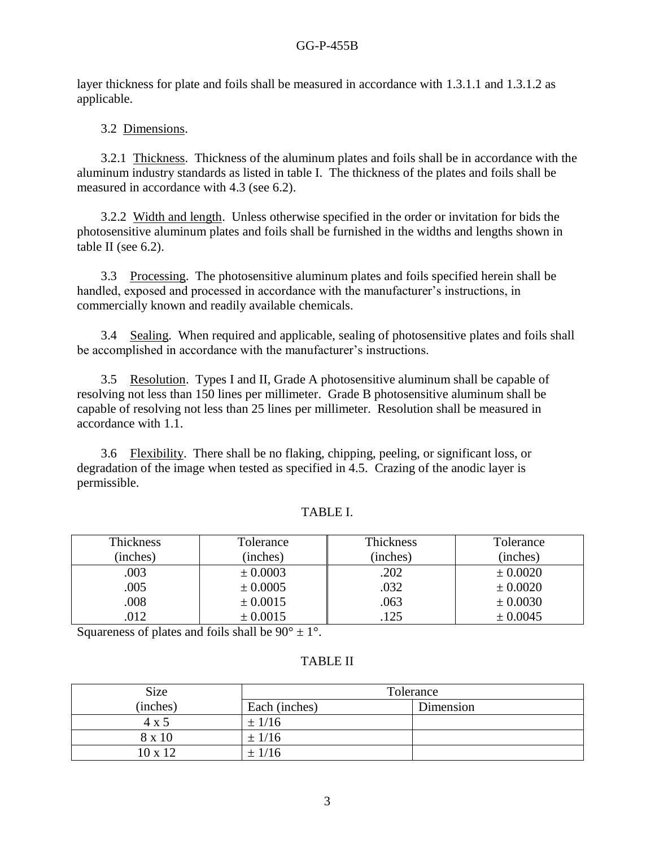layer thickness for plate and foils shall be measured in accordance with 1.3.1.1 and 1.3.1.2 as applicable.

## 3.2 Dimensions.

3.2.1 Thickness. Thickness of the aluminum plates and foils shall be in accordance with the aluminum industry standards as listed in table I. The thickness of the plates and foils shall be measured in accordance with 4.3 (see 6.2).

3.2.2 Width and length. Unless otherwise specified in the order or invitation for bids the photosensitive aluminum plates and foils shall be furnished in the widths and lengths shown in table II (see 6.2).

3.3 Processing. The photosensitive aluminum plates and foils specified herein shall be handled, exposed and processed in accordance with the manufacturer's instructions, in commercially known and readily available chemicals.

3.4 Sealing. When required and applicable, sealing of photosensitive plates and foils shall be accomplished in accordance with the manufacturer's instructions.

3.5 Resolution. Types I and II, Grade A photosensitive aluminum shall be capable of resolving not less than 150 lines per millimeter. Grade B photosensitive aluminum shall be capable of resolving not less than 25 lines per millimeter. Resolution shall be measured in accordance with 1.1.

3.6 Flexibility. There shall be no flaking, chipping, peeling, or significant loss, or degradation of the image when tested as specified in 4.5. Crazing of the anodic layer is permissible.

| ABL. |
|------|
|------|

| Thickness | Tolerance | Thickness | Tolerance |
|-----------|-----------|-----------|-----------|
| (inches)  | (inches)  | (inches)  | (inches)  |
| .003      | ± 0.0003  | .202      | ± 0.0020  |
| .005      | ± 0.0005  | .032      | ± 0.0020  |
| .008      | ± 0.0015  | .063      | ± 0.0030  |
| .012      | ± 0.0015  | .125      | ± 0.0045  |

Squareness of plates and foils shall be  $90^{\circ} \pm 1^{\circ}$ .

## TABLE II

| Size           | Tolerance     |           |  |
|----------------|---------------|-----------|--|
| (inches)       | Each (inches) | Dimension |  |
| 4 x 5          | $\pm$ 1/16    |           |  |
| 8 x 10         | ± 1/16        |           |  |
| $10 \times 12$ | $\pm$ 1/16    |           |  |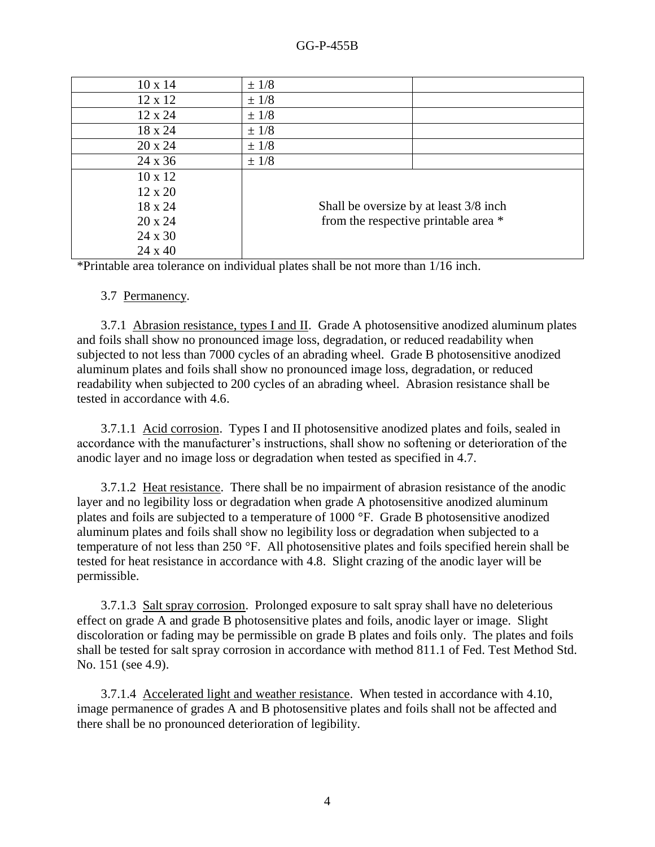| $10 \times 14$ | $±$ 1/8                                |
|----------------|----------------------------------------|
| 12 x 12        | $±$ 1/8                                |
| 12 x 24        | $±$ 1/8                                |
| 18 x 24        | $±$ 1/8                                |
| 20 x 24        | $±$ 1/8                                |
| 24 x 36        | $±$ 1/8                                |
| $10 \times 12$ |                                        |
| $12 \times 20$ |                                        |
| 18 x 24        | Shall be oversize by at least 3/8 inch |
| $20 \times 24$ | from the respective printable area *   |
| 24 x 30        |                                        |
| $24 \times 40$ |                                        |

\*Printable area tolerance on individual plates shall be not more than 1/16 inch.

#### 3.7 Permanency.

3.7.1 Abrasion resistance, types I and II. Grade A photosensitive anodized aluminum plates and foils shall show no pronounced image loss, degradation, or reduced readability when subjected to not less than 7000 cycles of an abrading wheel. Grade B photosensitive anodized aluminum plates and foils shall show no pronounced image loss, degradation, or reduced readability when subjected to 200 cycles of an abrading wheel. Abrasion resistance shall be tested in accordance with 4.6.

3.7.1.1 Acid corrosion. Types I and II photosensitive anodized plates and foils, sealed in accordance with the manufacturer's instructions, shall show no softening or deterioration of the anodic layer and no image loss or degradation when tested as specified in 4.7.

3.7.1.2 Heat resistance. There shall be no impairment of abrasion resistance of the anodic layer and no legibility loss or degradation when grade A photosensitive anodized aluminum plates and foils are subjected to a temperature of 1000 °F. Grade B photosensitive anodized aluminum plates and foils shall show no legibility loss or degradation when subjected to a temperature of not less than 250 °F. All photosensitive plates and foils specified herein shall be tested for heat resistance in accordance with 4.8. Slight crazing of the anodic layer will be permissible.

3.7.1.3 Salt spray corrosion. Prolonged exposure to salt spray shall have no deleterious effect on grade A and grade B photosensitive plates and foils, anodic layer or image. Slight discoloration or fading may be permissible on grade B plates and foils only. The plates and foils shall be tested for salt spray corrosion in accordance with method 811.1 of Fed. Test Method Std. No. 151 (see 4.9).

3.7.1.4 Accelerated light and weather resistance. When tested in accordance with 4.10, image permanence of grades A and B photosensitive plates and foils shall not be affected and there shall be no pronounced deterioration of legibility.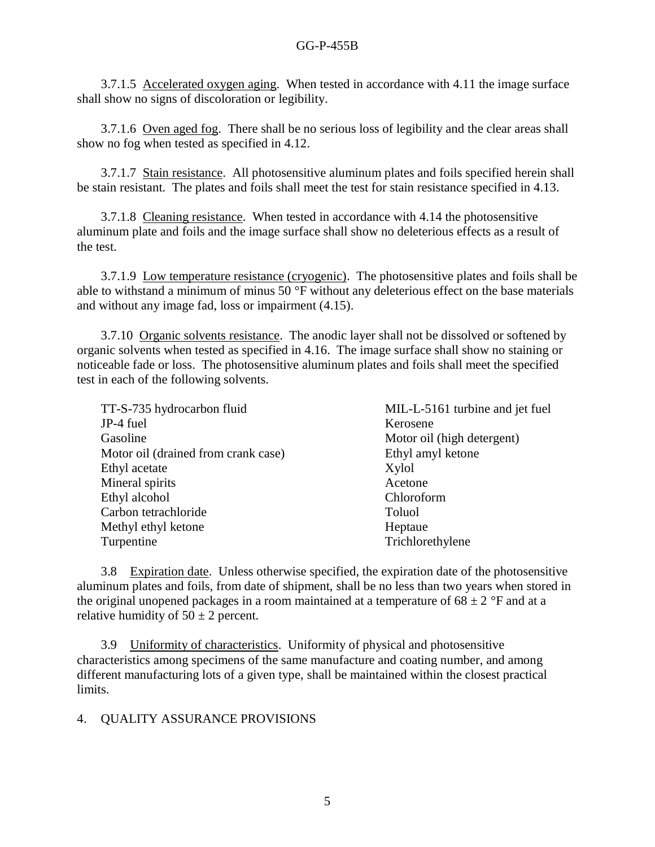3.7.1.5 Accelerated oxygen aging. When tested in accordance with 4.11 the image surface shall show no signs of discoloration or legibility.

3.7.1.6 Oven aged fog. There shall be no serious loss of legibility and the clear areas shall show no fog when tested as specified in 4.12.

3.7.1.7 Stain resistance. All photosensitive aluminum plates and foils specified herein shall be stain resistant. The plates and foils shall meet the test for stain resistance specified in 4.13.

3.7.1.8 Cleaning resistance. When tested in accordance with 4.14 the photosensitive aluminum plate and foils and the image surface shall show no deleterious effects as a result of the test.

3.7.1.9 Low temperature resistance (cryogenic). The photosensitive plates and foils shall be able to withstand a minimum of minus 50 °F without any deleterious effect on the base materials and without any image fad, loss or impairment (4.15).

3.7.10 Organic solvents resistance. The anodic layer shall not be dissolved or softened by organic solvents when tested as specified in 4.16. The image surface shall show no staining or noticeable fade or loss. The photosensitive aluminum plates and foils shall meet the specified test in each of the following solvents.

| TT-S-735 hydrocarbon fluid          | MIL-L-5161 turbine and jet fuel |
|-------------------------------------|---------------------------------|
| JP-4 fuel                           | Kerosene                        |
| Gasoline                            | Motor oil (high detergent)      |
| Motor oil (drained from crank case) | Ethyl amyl ketone               |
| Ethyl acetate                       | Xylol                           |
| Mineral spirits                     | Acetone                         |
| Ethyl alcohol                       | Chloroform                      |
| Carbon tetrachloride                | <b>Toluol</b>                   |
| Methyl ethyl ketone                 | Heptaue                         |
| Turpentine                          | Trichlorethylene                |
|                                     |                                 |

3.8 Expiration date. Unless otherwise specified, the expiration date of the photosensitive aluminum plates and foils, from date of shipment, shall be no less than two years when stored in the original unopened packages in a room maintained at a temperature of  $68 \pm 2$  °F and at a relative humidity of  $50 \pm 2$  percent.

3.9 Uniformity of characteristics. Uniformity of physical and photosensitive characteristics among specimens of the same manufacture and coating number, and among different manufacturing lots of a given type, shall be maintained within the closest practical limits.

### 4. QUALITY ASSURANCE PROVISIONS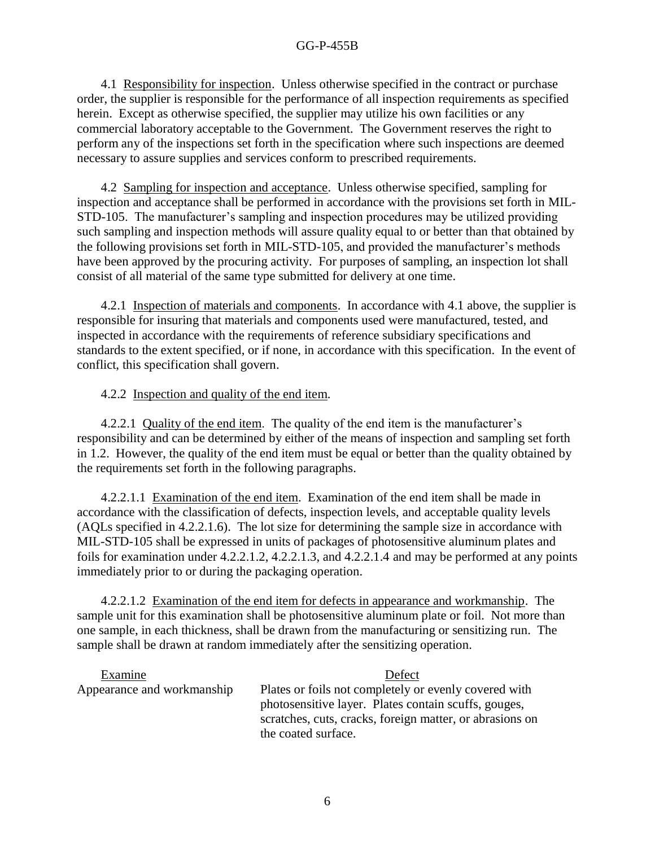4.1 Responsibility for inspection. Unless otherwise specified in the contract or purchase order, the supplier is responsible for the performance of all inspection requirements as specified herein. Except as otherwise specified, the supplier may utilize his own facilities or any commercial laboratory acceptable to the Government. The Government reserves the right to perform any of the inspections set forth in the specification where such inspections are deemed necessary to assure supplies and services conform to prescribed requirements.

4.2 Sampling for inspection and acceptance. Unless otherwise specified, sampling for inspection and acceptance shall be performed in accordance with the provisions set forth in MIL-STD-105. The manufacturer's sampling and inspection procedures may be utilized providing such sampling and inspection methods will assure quality equal to or better than that obtained by the following provisions set forth in MIL-STD-105, and provided the manufacturer's methods have been approved by the procuring activity. For purposes of sampling, an inspection lot shall consist of all material of the same type submitted for delivery at one time.

4.2.1 Inspection of materials and components. In accordance with 4.1 above, the supplier is responsible for insuring that materials and components used were manufactured, tested, and inspected in accordance with the requirements of reference subsidiary specifications and standards to the extent specified, or if none, in accordance with this specification. In the event of conflict, this specification shall govern.

## 4.2.2 Inspection and quality of the end item.

4.2.2.1 Quality of the end item. The quality of the end item is the manufacturer's responsibility and can be determined by either of the means of inspection and sampling set forth in 1.2. However, the quality of the end item must be equal or better than the quality obtained by the requirements set forth in the following paragraphs.

4.2.2.1.1 Examination of the end item. Examination of the end item shall be made in accordance with the classification of defects, inspection levels, and acceptable quality levels (AQLs specified in 4.2.2.1.6). The lot size for determining the sample size in accordance with MIL-STD-105 shall be expressed in units of packages of photosensitive aluminum plates and foils for examination under 4.2.2.1.2, 4.2.2.1.3, and 4.2.2.1.4 and may be performed at any points immediately prior to or during the packaging operation.

4.2.2.1.2 Examination of the end item for defects in appearance and workmanship. The sample unit for this examination shall be photosensitive aluminum plate or foil. Not more than one sample, in each thickness, shall be drawn from the manufacturing or sensitizing run. The sample shall be drawn at random immediately after the sensitizing operation.

| Examine                    | Defect                                                                                                        |
|----------------------------|---------------------------------------------------------------------------------------------------------------|
| Appearance and workmanship | Plates or foils not completely or evenly covered with<br>photosensitive layer. Plates contain scuffs, gouges, |
|                            | scratches, cuts, cracks, foreign matter, or abrasions on<br>the coated surface.                               |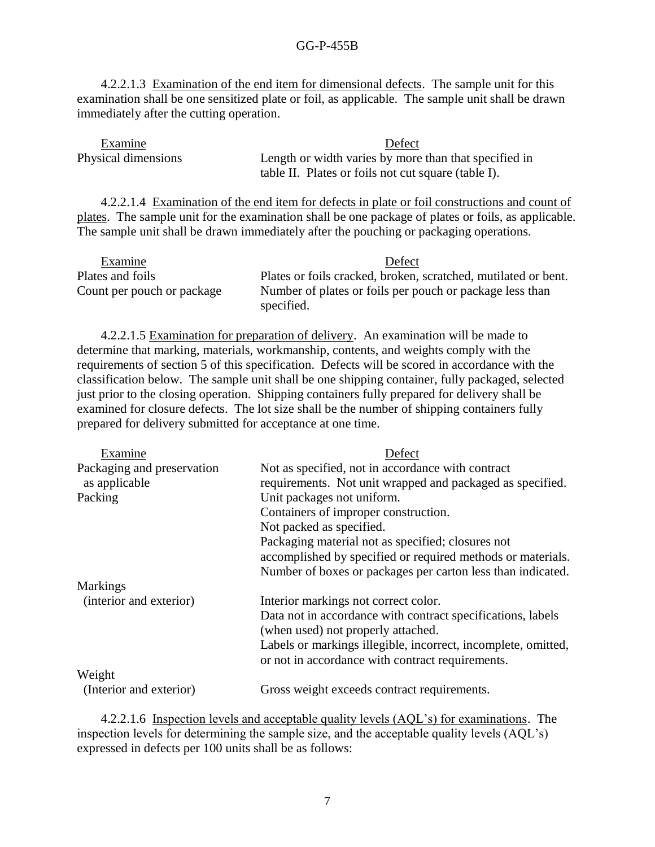4.2.2.1.3 Examination of the end item for dimensional defects. The sample unit for this examination shall be one sensitized plate or foil, as applicable. The sample unit shall be drawn immediately after the cutting operation.

Examine Defect Physical dimensions Length or width varies by more than that specified in table II. Plates or foils not cut square (table I).

4.2.2.1.4 Examination of the end item for defects in plate or foil constructions and count of plates. The sample unit for the examination shall be one package of plates or foils, as applicable. The sample unit shall be drawn immediately after the pouching or packaging operations.

| Examine                    | Defect                                                                 |
|----------------------------|------------------------------------------------------------------------|
| Plates and foils           | Plates or foils cracked, broken, scratched, mutilated or bent.         |
| Count per pouch or package | Number of plates or foils per pouch or package less than<br>specified. |

4.2.2.1.5 Examination for preparation of delivery. An examination will be made to determine that marking, materials, workmanship, contents, and weights comply with the requirements of section 5 of this specification. Defects will be scored in accordance with the classification below. The sample unit shall be one shipping container, fully packaged, selected just prior to the closing operation. Shipping containers fully prepared for delivery shall be examined for closure defects. The lot size shall be the number of shipping containers fully prepared for delivery submitted for acceptance at one time.

| Examine                    | Defect                                                                                                            |
|----------------------------|-------------------------------------------------------------------------------------------------------------------|
| Packaging and preservation | Not as specified, not in accordance with contract                                                                 |
| as applicable              | requirements. Not unit wrapped and packaged as specified.                                                         |
| Packing                    | Unit packages not uniform.                                                                                        |
|                            | Containers of improper construction.                                                                              |
|                            | Not packed as specified.                                                                                          |
|                            | Packaging material not as specified; closures not                                                                 |
|                            | accomplished by specified or required methods or materials.                                                       |
|                            | Number of boxes or packages per carton less than indicated.                                                       |
| <b>Markings</b>            |                                                                                                                   |
| (interior and exterior)    | Interior markings not correct color.                                                                              |
|                            | Data not in accordance with contract specifications, labels<br>(when used) not properly attached.                 |
|                            | Labels or markings illegible, incorrect, incomplete, omitted,<br>or not in accordance with contract requirements. |
| Weight                     |                                                                                                                   |
| (Interior and exterior)    | Gross weight exceeds contract requirements.                                                                       |

4.2.2.1.6 Inspection levels and acceptable quality levels (AQL's) for examinations. The inspection levels for determining the sample size, and the acceptable quality levels (AQL's) expressed in defects per 100 units shall be as follows: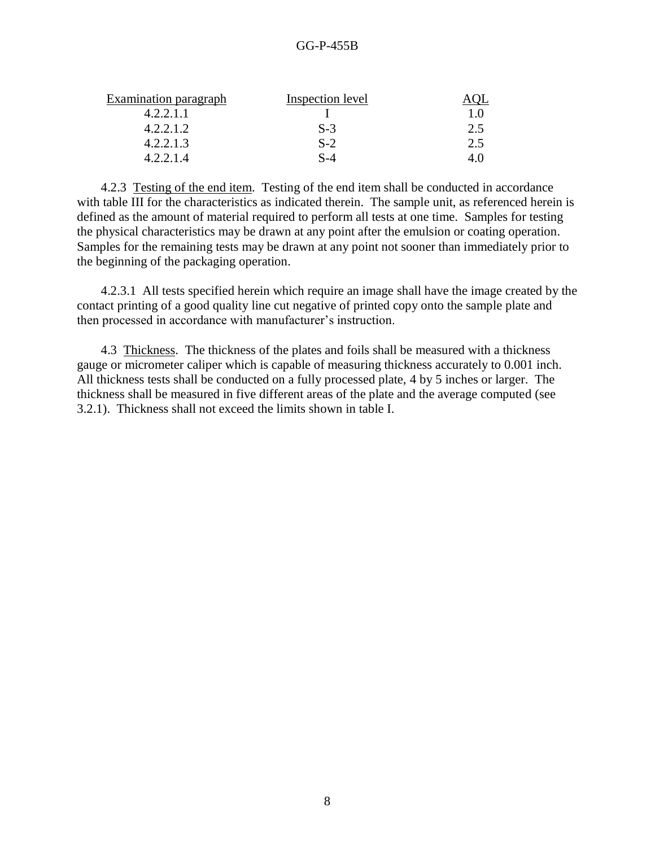| Examination paragraph | Inspection level |     |
|-----------------------|------------------|-----|
| 4.2.2.1.1             |                  | 10  |
| 4.2.2.1.2             | $S-3$            | 2.5 |
| 4.2.2.1.3             | $S-2$            | 2.5 |
| 4.2.2.1.4             | S-4              |     |

4.2.3 Testing of the end item. Testing of the end item shall be conducted in accordance with table III for the characteristics as indicated therein. The sample unit, as referenced herein is defined as the amount of material required to perform all tests at one time. Samples for testing the physical characteristics may be drawn at any point after the emulsion or coating operation. Samples for the remaining tests may be drawn at any point not sooner than immediately prior to the beginning of the packaging operation.

4.2.3.1 All tests specified herein which require an image shall have the image created by the contact printing of a good quality line cut negative of printed copy onto the sample plate and then processed in accordance with manufacturer's instruction.

4.3 Thickness. The thickness of the plates and foils shall be measured with a thickness gauge or micrometer caliper which is capable of measuring thickness accurately to 0.001 inch. All thickness tests shall be conducted on a fully processed plate, 4 by 5 inches or larger. The thickness shall be measured in five different areas of the plate and the average computed (see 3.2.1). Thickness shall not exceed the limits shown in table I.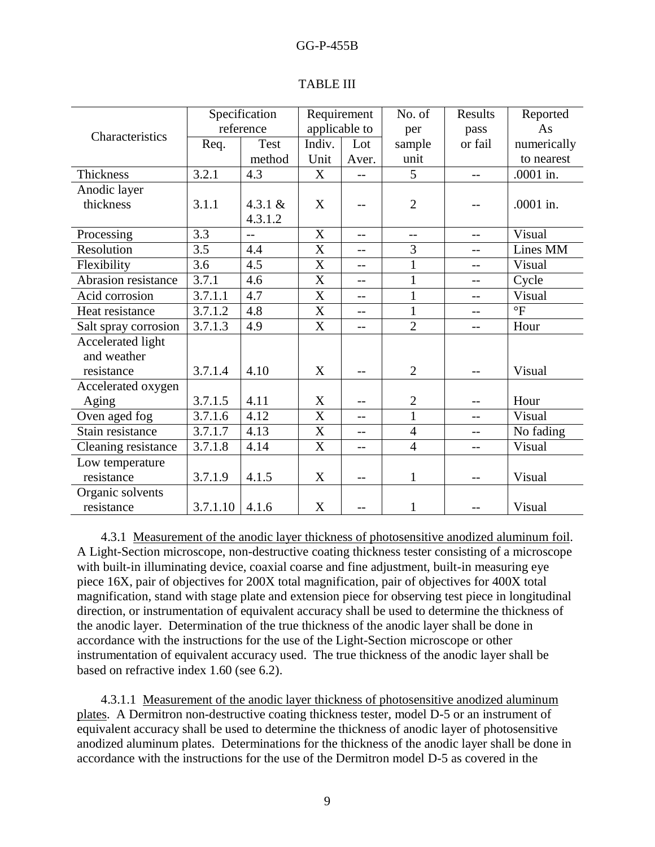|                      | Specification |             | Requirement      |       | No. of         | Results | Reported        |
|----------------------|---------------|-------------|------------------|-------|----------------|---------|-----------------|
| Characteristics      | reference     |             | applicable to    |       | per            | pass    | As              |
|                      | Req.          | <b>Test</b> | Indiv.           | Lot   | sample         | or fail | numerically     |
|                      |               | method      | Unit             | Aver. | unit           |         | to nearest      |
| <b>Thickness</b>     | 3.2.1         | 4.3         | X                |       | 5              | $-$     | .0001 in.       |
| Anodic layer         |               |             |                  |       |                |         |                 |
| thickness            | 3.1.1         | 4.3.1 $&$   | X                |       | $\overline{2}$ |         | .0001 in.       |
|                      |               | 4.3.1.2     |                  |       |                |         |                 |
| Processing           | 3.3           | $-$         | $\mathbf X$      | $-$   | $-$            | $-$     | Visual          |
| Resolution           | 3.5           | 4.4         | X                | --    | 3              | $-$     | Lines MM        |
| Flexibility          | 3.6           | 4.5         | X                |       | $\mathbf{1}$   | $-$     | Visual          |
| Abrasion resistance  | 3.7.1         | 4.6         | $\mathbf X$      | $-1$  | $\mathbf{1}$   | $-1$    | Cycle           |
| Acid corrosion       | 3.7.1.1       | 4.7         | X                | $-$   | 1              | --      | Visual          |
| Heat resistance      | 3.7.1.2       | 4.8         | X                | $-$   | $\mathbf{1}$   | $-$     | $\rm ^{\circ}F$ |
| Salt spray corrosion | 3.7.1.3       | 4.9         | $\mathbf X$      | $-$   | $\overline{2}$ | $-$     | Hour            |
| Accelerated light    |               |             |                  |       |                |         |                 |
| and weather          |               |             |                  |       |                |         |                 |
| resistance           | 3.7.1.4       | 4.10        | X                | $-$   | $\overline{2}$ | $-$     | Visual          |
| Accelerated oxygen   |               |             |                  |       |                |         |                 |
| Aging                | 3.7.1.5       | 4.11        | X                |       | $\mathbf{2}$   |         | Hour            |
| Oven aged fog        | 3.7.1.6       | 4.12        | $\mathbf X$      | --    | $\mathbf{1}$   |         | Visual          |
| Stain resistance     | 3.7.1.7       | 4.13        | $\boldsymbol{X}$ | $-$   | $\overline{4}$ | $-$     | No fading       |
| Cleaning resistance  | 3.7.1.8       | 4.14        | $\mathbf X$      | $-$   | $\overline{4}$ | $-$     | Visual          |
| Low temperature      |               |             |                  |       |                |         |                 |
| resistance           | 3.7.1.9       | 4.1.5       | X                | --    | $\mathbf{1}$   | $-1$    | Visual          |
| Organic solvents     |               |             |                  |       |                |         |                 |
| resistance           | 3.7.1.10      | 4.1.6       | X                | $-1$  | $\mathbf{1}$   | $-1$    | Visual          |

### TABLE III

4.3.1 Measurement of the anodic layer thickness of photosensitive anodized aluminum foil. A Light-Section microscope, non-destructive coating thickness tester consisting of a microscope with built-in illuminating device, coaxial coarse and fine adjustment, built-in measuring eye piece 16X, pair of objectives for 200X total magnification, pair of objectives for 400X total magnification, stand with stage plate and extension piece for observing test piece in longitudinal direction, or instrumentation of equivalent accuracy shall be used to determine the thickness of the anodic layer. Determination of the true thickness of the anodic layer shall be done in accordance with the instructions for the use of the Light-Section microscope or other instrumentation of equivalent accuracy used. The true thickness of the anodic layer shall be based on refractive index 1.60 (see 6.2).

4.3.1.1 Measurement of the anodic layer thickness of photosensitive anodized aluminum plates. A Dermitron non-destructive coating thickness tester, model D-5 or an instrument of equivalent accuracy shall be used to determine the thickness of anodic layer of photosensitive anodized aluminum plates. Determinations for the thickness of the anodic layer shall be done in accordance with the instructions for the use of the Dermitron model D-5 as covered in the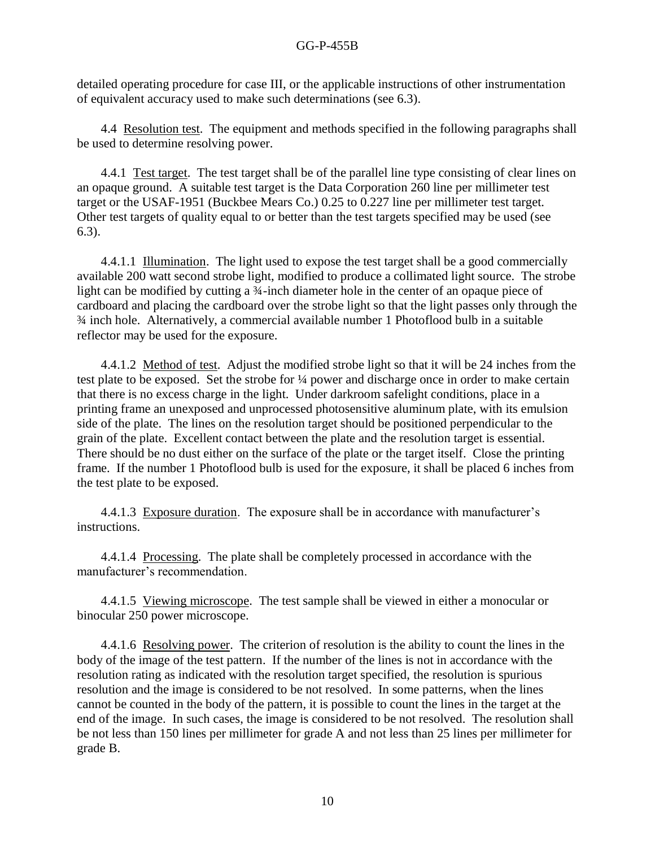detailed operating procedure for case III, or the applicable instructions of other instrumentation of equivalent accuracy used to make such determinations (see 6.3).

4.4 Resolution test. The equipment and methods specified in the following paragraphs shall be used to determine resolving power.

4.4.1 Test target. The test target shall be of the parallel line type consisting of clear lines on an opaque ground. A suitable test target is the Data Corporation 260 line per millimeter test target or the USAF-1951 (Buckbee Mears Co.) 0.25 to 0.227 line per millimeter test target. Other test targets of quality equal to or better than the test targets specified may be used (see 6.3).

4.4.1.1 Illumination. The light used to expose the test target shall be a good commercially available 200 watt second strobe light, modified to produce a collimated light source. The strobe light can be modified by cutting a 3<sup>4</sup>-inch diameter hole in the center of an opaque piece of cardboard and placing the cardboard over the strobe light so that the light passes only through the ¾ inch hole. Alternatively, a commercial available number 1 Photoflood bulb in a suitable reflector may be used for the exposure.

4.4.1.2 Method of test. Adjust the modified strobe light so that it will be 24 inches from the test plate to be exposed. Set the strobe for ¼ power and discharge once in order to make certain that there is no excess charge in the light. Under darkroom safelight conditions, place in a printing frame an unexposed and unprocessed photosensitive aluminum plate, with its emulsion side of the plate. The lines on the resolution target should be positioned perpendicular to the grain of the plate. Excellent contact between the plate and the resolution target is essential. There should be no dust either on the surface of the plate or the target itself. Close the printing frame. If the number 1 Photoflood bulb is used for the exposure, it shall be placed 6 inches from the test plate to be exposed.

4.4.1.3 Exposure duration. The exposure shall be in accordance with manufacturer's instructions.

4.4.1.4 Processing. The plate shall be completely processed in accordance with the manufacturer's recommendation.

4.4.1.5 Viewing microscope. The test sample shall be viewed in either a monocular or binocular 250 power microscope.

4.4.1.6 Resolving power. The criterion of resolution is the ability to count the lines in the body of the image of the test pattern. If the number of the lines is not in accordance with the resolution rating as indicated with the resolution target specified, the resolution is spurious resolution and the image is considered to be not resolved. In some patterns, when the lines cannot be counted in the body of the pattern, it is possible to count the lines in the target at the end of the image. In such cases, the image is considered to be not resolved. The resolution shall be not less than 150 lines per millimeter for grade A and not less than 25 lines per millimeter for grade B.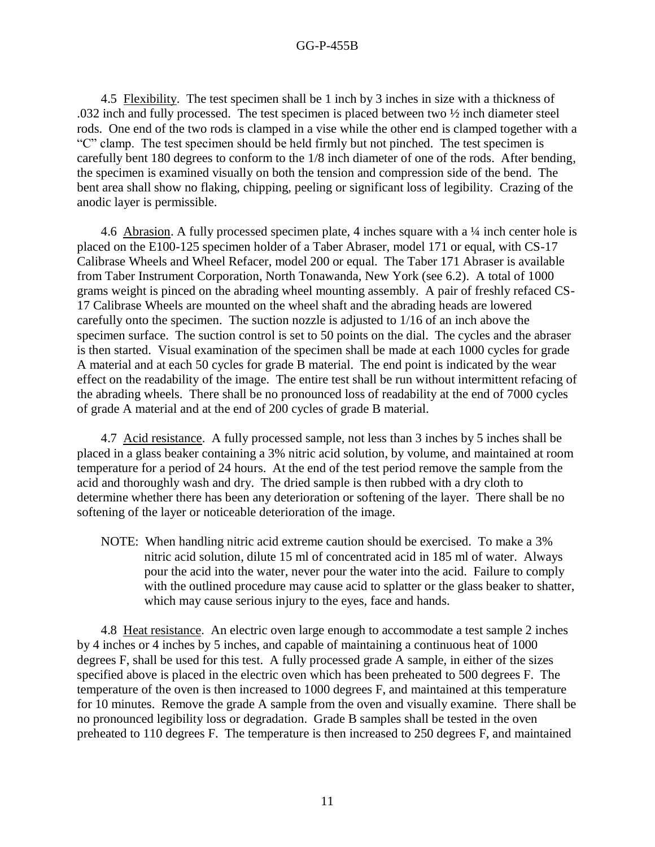4.5 Flexibility. The test specimen shall be 1 inch by 3 inches in size with a thickness of .032 inch and fully processed. The test specimen is placed between two ½ inch diameter steel rods. One end of the two rods is clamped in a vise while the other end is clamped together with a "C" clamp. The test specimen should be held firmly but not pinched. The test specimen is carefully bent 180 degrees to conform to the 1/8 inch diameter of one of the rods. After bending, the specimen is examined visually on both the tension and compression side of the bend. The bent area shall show no flaking, chipping, peeling or significant loss of legibility. Crazing of the anodic layer is permissible.

4.6 Abrasion. A fully processed specimen plate, 4 inches square with a  $\frac{1}{4}$  inch center hole is placed on the E100-125 specimen holder of a Taber Abraser, model 171 or equal, with CS-17 Calibrase Wheels and Wheel Refacer, model 200 or equal. The Taber 171 Abraser is available from Taber Instrument Corporation, North Tonawanda, New York (see 6.2). A total of 1000 grams weight is pinced on the abrading wheel mounting assembly. A pair of freshly refaced CS-17 Calibrase Wheels are mounted on the wheel shaft and the abrading heads are lowered carefully onto the specimen. The suction nozzle is adjusted to 1/16 of an inch above the specimen surface. The suction control is set to 50 points on the dial. The cycles and the abraser is then started. Visual examination of the specimen shall be made at each 1000 cycles for grade A material and at each 50 cycles for grade B material. The end point is indicated by the wear effect on the readability of the image. The entire test shall be run without intermittent refacing of the abrading wheels. There shall be no pronounced loss of readability at the end of 7000 cycles of grade A material and at the end of 200 cycles of grade B material.

4.7 Acid resistance. A fully processed sample, not less than 3 inches by 5 inches shall be placed in a glass beaker containing a 3% nitric acid solution, by volume, and maintained at room temperature for a period of 24 hours. At the end of the test period remove the sample from the acid and thoroughly wash and dry. The dried sample is then rubbed with a dry cloth to determine whether there has been any deterioration or softening of the layer. There shall be no softening of the layer or noticeable deterioration of the image.

NOTE: When handling nitric acid extreme caution should be exercised. To make a 3% nitric acid solution, dilute 15 ml of concentrated acid in 185 ml of water. Always pour the acid into the water, never pour the water into the acid. Failure to comply with the outlined procedure may cause acid to splatter or the glass beaker to shatter, which may cause serious injury to the eyes, face and hands.

4.8 Heat resistance. An electric oven large enough to accommodate a test sample 2 inches by 4 inches or 4 inches by 5 inches, and capable of maintaining a continuous heat of 1000 degrees F, shall be used for this test. A fully processed grade A sample, in either of the sizes specified above is placed in the electric oven which has been preheated to 500 degrees F. The temperature of the oven is then increased to 1000 degrees F, and maintained at this temperature for 10 minutes. Remove the grade A sample from the oven and visually examine. There shall be no pronounced legibility loss or degradation. Grade B samples shall be tested in the oven preheated to 110 degrees F. The temperature is then increased to 250 degrees F, and maintained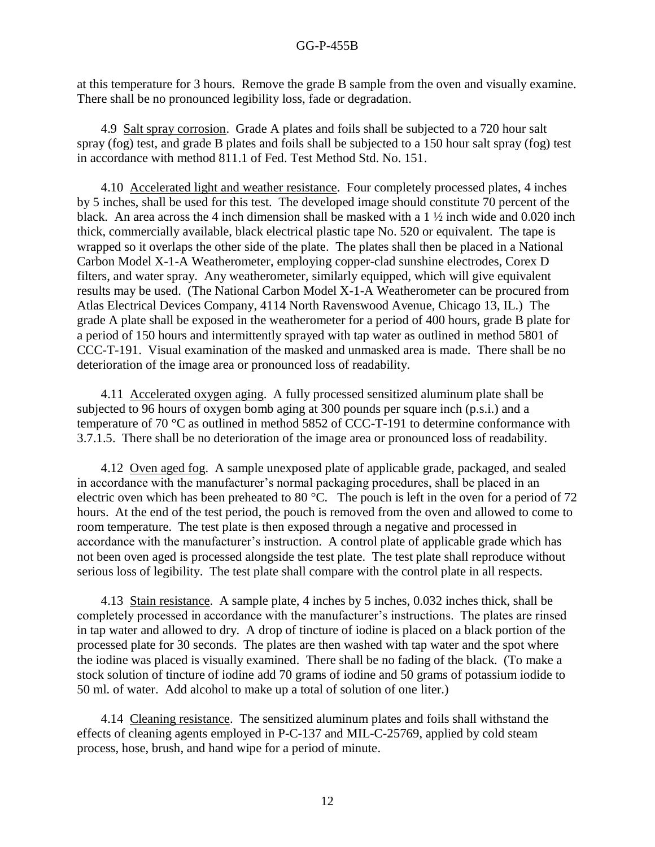at this temperature for 3 hours. Remove the grade B sample from the oven and visually examine. There shall be no pronounced legibility loss, fade or degradation.

4.9 Salt spray corrosion. Grade A plates and foils shall be subjected to a 720 hour salt spray (fog) test, and grade B plates and foils shall be subjected to a 150 hour salt spray (fog) test in accordance with method 811.1 of Fed. Test Method Std. No. 151.

4.10 Accelerated light and weather resistance. Four completely processed plates, 4 inches by 5 inches, shall be used for this test. The developed image should constitute 70 percent of the black. An area across the 4 inch dimension shall be masked with a 1 ½ inch wide and 0.020 inch thick, commercially available, black electrical plastic tape No. 520 or equivalent. The tape is wrapped so it overlaps the other side of the plate. The plates shall then be placed in a National Carbon Model X-1-A Weatherometer, employing copper-clad sunshine electrodes, Corex D filters, and water spray. Any weatherometer, similarly equipped, which will give equivalent results may be used. (The National Carbon Model X-1-A Weatherometer can be procured from Atlas Electrical Devices Company, 4114 North Ravenswood Avenue, Chicago 13, IL.) The grade A plate shall be exposed in the weatherometer for a period of 400 hours, grade B plate for a period of 150 hours and intermittently sprayed with tap water as outlined in method 5801 of CCC-T-191. Visual examination of the masked and unmasked area is made. There shall be no deterioration of the image area or pronounced loss of readability.

4.11 Accelerated oxygen aging. A fully processed sensitized aluminum plate shall be subjected to 96 hours of oxygen bomb aging at 300 pounds per square inch (p.s.i.) and a temperature of 70 °C as outlined in method 5852 of CCC-T-191 to determine conformance with 3.7.1.5. There shall be no deterioration of the image area or pronounced loss of readability.

4.12 Oven aged fog. A sample unexposed plate of applicable grade, packaged, and sealed in accordance with the manufacturer's normal packaging procedures, shall be placed in an electric oven which has been preheated to 80 °C. The pouch is left in the oven for a period of 72 hours. At the end of the test period, the pouch is removed from the oven and allowed to come to room temperature. The test plate is then exposed through a negative and processed in accordance with the manufacturer's instruction. A control plate of applicable grade which has not been oven aged is processed alongside the test plate. The test plate shall reproduce without serious loss of legibility. The test plate shall compare with the control plate in all respects.

4.13 Stain resistance. A sample plate, 4 inches by 5 inches, 0.032 inches thick, shall be completely processed in accordance with the manufacturer's instructions. The plates are rinsed in tap water and allowed to dry. A drop of tincture of iodine is placed on a black portion of the processed plate for 30 seconds. The plates are then washed with tap water and the spot where the iodine was placed is visually examined. There shall be no fading of the black. (To make a stock solution of tincture of iodine add 70 grams of iodine and 50 grams of potassium iodide to 50 ml. of water. Add alcohol to make up a total of solution of one liter.)

4.14 Cleaning resistance. The sensitized aluminum plates and foils shall withstand the effects of cleaning agents employed in P-C-137 and MIL-C-25769, applied by cold steam process, hose, brush, and hand wipe for a period of minute.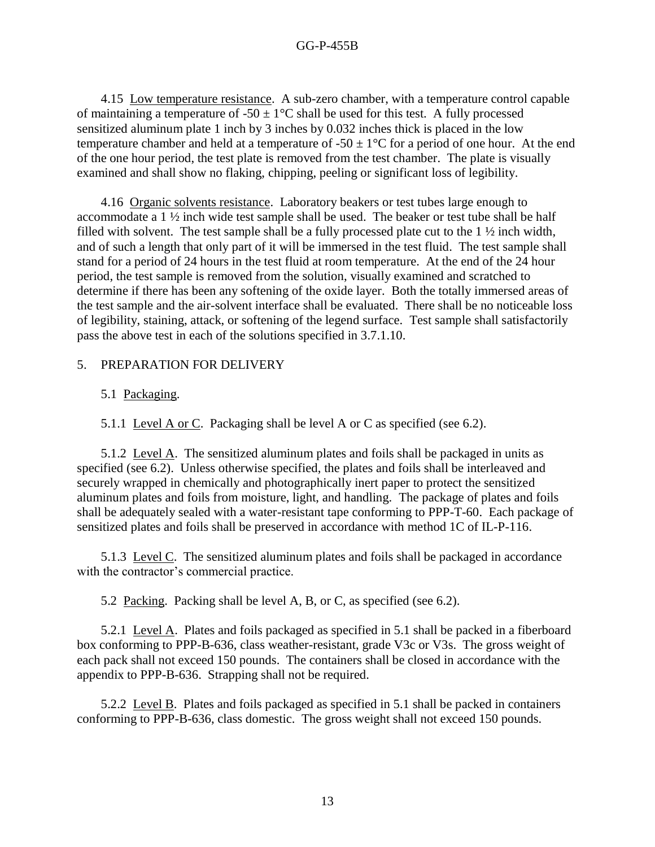4.15 Low temperature resistance. A sub-zero chamber, with a temperature control capable of maintaining a temperature of  $-50 \pm 1$ °C shall be used for this test. A fully processed sensitized aluminum plate 1 inch by 3 inches by 0.032 inches thick is placed in the low temperature chamber and held at a temperature of  $-50 \pm 1$ °C for a period of one hour. At the end of the one hour period, the test plate is removed from the test chamber. The plate is visually examined and shall show no flaking, chipping, peeling or significant loss of legibility.

4.16 Organic solvents resistance. Laboratory beakers or test tubes large enough to accommodate a 1 ½ inch wide test sample shall be used. The beaker or test tube shall be half filled with solvent. The test sample shall be a fully processed plate cut to the 1 ½ inch width, and of such a length that only part of it will be immersed in the test fluid. The test sample shall stand for a period of 24 hours in the test fluid at room temperature. At the end of the 24 hour period, the test sample is removed from the solution, visually examined and scratched to determine if there has been any softening of the oxide layer. Both the totally immersed areas of the test sample and the air-solvent interface shall be evaluated. There shall be no noticeable loss of legibility, staining, attack, or softening of the legend surface. Test sample shall satisfactorily pass the above test in each of the solutions specified in 3.7.1.10.

## 5. PREPARATION FOR DELIVERY

## 5.1 Packaging.

5.1.1 Level A or C. Packaging shall be level A or C as specified (see 6.2).

5.1.2 Level A. The sensitized aluminum plates and foils shall be packaged in units as specified (see 6.2). Unless otherwise specified, the plates and foils shall be interleaved and securely wrapped in chemically and photographically inert paper to protect the sensitized aluminum plates and foils from moisture, light, and handling. The package of plates and foils shall be adequately sealed with a water-resistant tape conforming to PPP-T-60. Each package of sensitized plates and foils shall be preserved in accordance with method 1C of IL-P-116.

5.1.3 Level C. The sensitized aluminum plates and foils shall be packaged in accordance with the contractor's commercial practice.

5.2 Packing. Packing shall be level A, B, or C, as specified (see 6.2).

5.2.1 Level A. Plates and foils packaged as specified in 5.1 shall be packed in a fiberboard box conforming to PPP-B-636, class weather-resistant, grade V3c or V3s. The gross weight of each pack shall not exceed 150 pounds. The containers shall be closed in accordance with the appendix to PPP-B-636. Strapping shall not be required.

5.2.2 Level B. Plates and foils packaged as specified in 5.1 shall be packed in containers conforming to PPP-B-636, class domestic. The gross weight shall not exceed 150 pounds.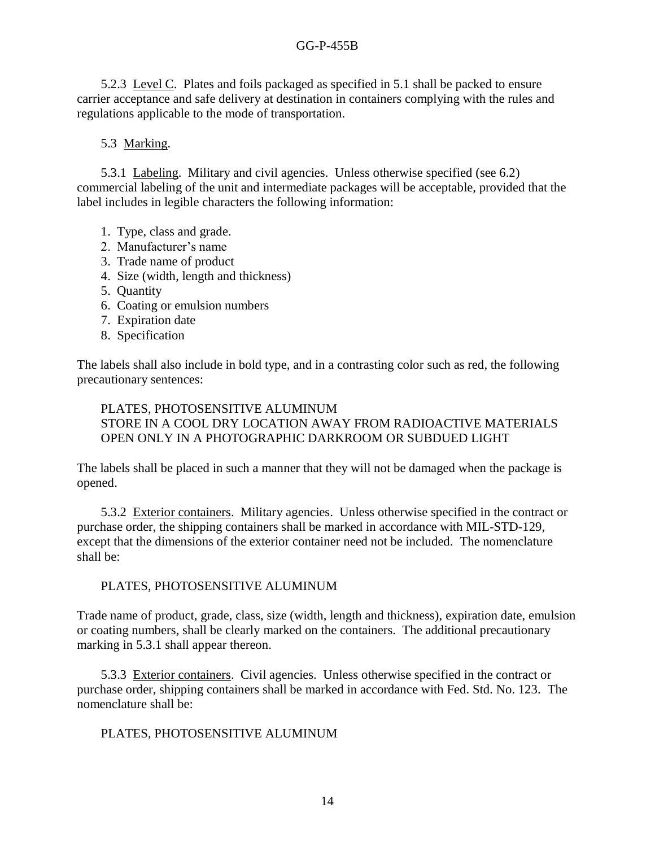5.2.3 Level C. Plates and foils packaged as specified in 5.1 shall be packed to ensure carrier acceptance and safe delivery at destination in containers complying with the rules and regulations applicable to the mode of transportation.

## 5.3 Marking.

5.3.1 Labeling. Military and civil agencies. Unless otherwise specified (see 6.2) commercial labeling of the unit and intermediate packages will be acceptable, provided that the label includes in legible characters the following information:

- 1. Type, class and grade.
- 2. Manufacturer's name
- 3. Trade name of product
- 4. Size (width, length and thickness)
- 5. Quantity
- 6. Coating or emulsion numbers
- 7. Expiration date
- 8. Specification

The labels shall also include in bold type, and in a contrasting color such as red, the following precautionary sentences:

## PLATES, PHOTOSENSITIVE ALUMINUM STORE IN A COOL DRY LOCATION AWAY FROM RADIOACTIVE MATERIALS OPEN ONLY IN A PHOTOGRAPHIC DARKROOM OR SUBDUED LIGHT

The labels shall be placed in such a manner that they will not be damaged when the package is opened.

5.3.2 Exterior containers. Military agencies. Unless otherwise specified in the contract or purchase order, the shipping containers shall be marked in accordance with MIL-STD-129, except that the dimensions of the exterior container need not be included. The nomenclature shall be:

## PLATES, PHOTOSENSITIVE ALUMINUM

Trade name of product, grade, class, size (width, length and thickness), expiration date, emulsion or coating numbers, shall be clearly marked on the containers. The additional precautionary marking in 5.3.1 shall appear thereon.

5.3.3 Exterior containers. Civil agencies. Unless otherwise specified in the contract or purchase order, shipping containers shall be marked in accordance with Fed. Std. No. 123. The nomenclature shall be:

## PLATES, PHOTOSENSITIVE ALUMINUM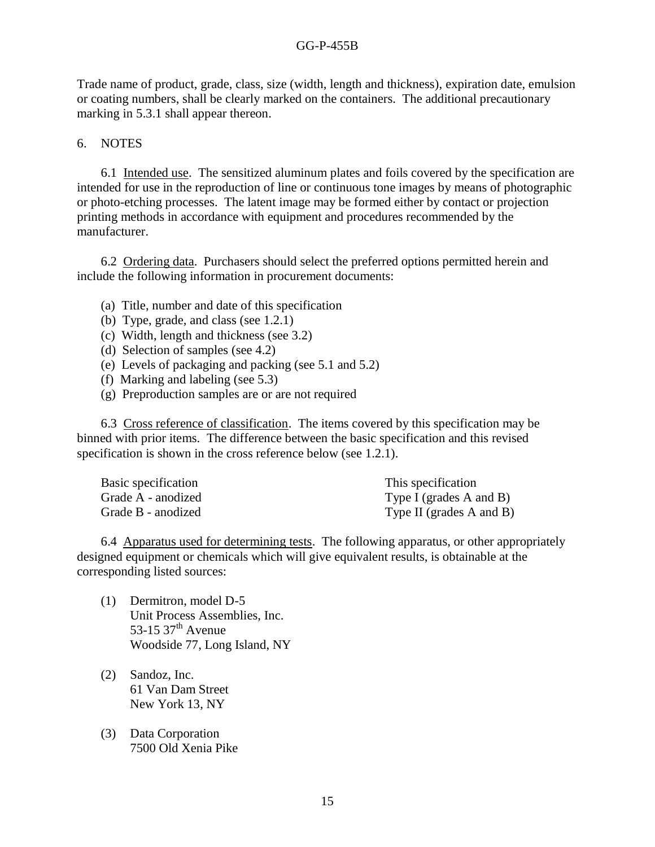Trade name of product, grade, class, size (width, length and thickness), expiration date, emulsion or coating numbers, shall be clearly marked on the containers. The additional precautionary marking in 5.3.1 shall appear thereon.

## 6. NOTES

6.1 Intended use. The sensitized aluminum plates and foils covered by the specification are intended for use in the reproduction of line or continuous tone images by means of photographic or photo-etching processes. The latent image may be formed either by contact or projection printing methods in accordance with equipment and procedures recommended by the manufacturer.

6.2 Ordering data. Purchasers should select the preferred options permitted herein and include the following information in procurement documents:

- (a) Title, number and date of this specification
- (b) Type, grade, and class (see 1.2.1)
- (c) Width, length and thickness (see 3.2)
- (d) Selection of samples (see 4.2)
- (e) Levels of packaging and packing (see 5.1 and 5.2)
- (f) Marking and labeling (see 5.3)
- (g) Preproduction samples are or are not required

6.3 Cross reference of classification. The items covered by this specification may be binned with prior items. The difference between the basic specification and this revised specification is shown in the cross reference below (see 1.2.1).

| Basic specification | This specification           |
|---------------------|------------------------------|
| Grade A - anodized  | Type I (grades $A$ and $B$ ) |
| Grade B - anodized  | Type II (grades A and B)     |

6.4 Apparatus used for determining tests. The following apparatus, or other appropriately designed equipment or chemicals which will give equivalent results, is obtainable at the corresponding listed sources:

- (1) Dermitron, model D-5 Unit Process Assemblies, Inc. 53-15 37<sup>th</sup> Avenue Woodside 77, Long Island, NY
- (2) Sandoz, Inc. 61 Van Dam Street New York 13, NY
- (3) Data Corporation 7500 Old Xenia Pike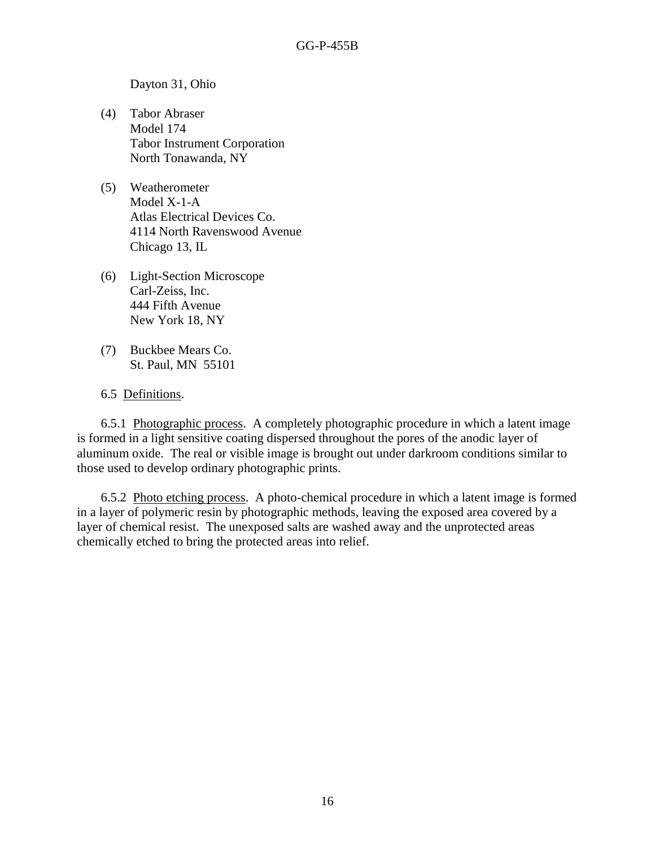Dayton 31, Ohio

- (4) Tabor Abraser Model 174 Tabor Instrument Corporation North Tonawanda, NY
- (5) Weatherometer Model X-1-A Atlas Electrical Devices Co. 4114 North Ravenswood Avenue Chicago 13, IL
- (6) Light-Section Microscope Carl-Zeiss, Inc. 444 Fifth Avenue New York 18, NY
- (7) Buckbee Mears Co. St. Paul, MN 55101
- 6.5 Definitions.

6.5.1 Photographic process. A completely photographic procedure in which a latent image is formed in a light sensitive coating dispersed throughout the pores of the anodic layer of aluminum oxide. The real or visible image is brought out under darkroom conditions similar to those used to develop ordinary photographic prints.

6.5.2 Photo etching process. A photo-chemical procedure in which a latent image is formed in a layer of polymeric resin by photographic methods, leaving the exposed area covered by a layer of chemical resist. The unexposed salts are washed away and the unprotected areas chemically etched to bring the protected areas into relief.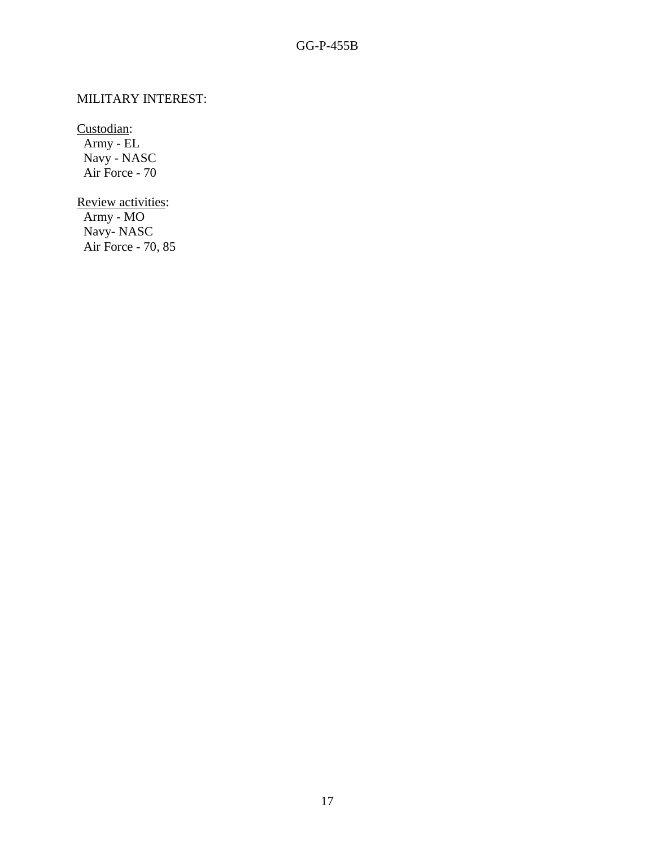# MILITARY INTEREST:

Custodian:

 Army - EL Navy - NASC Air Force - 70

Review activities: Army - MO Navy- NASC Air Force - 70, 85